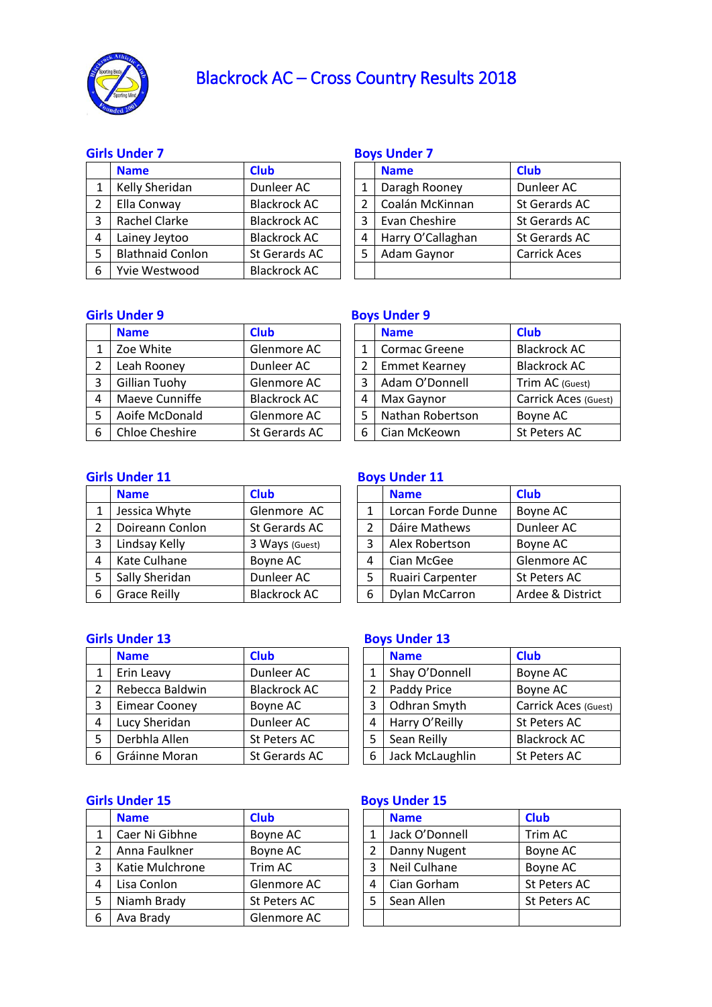

# Blackrock AC – Cross Country Results 2018

## **Girls Under 7 Boys Under 7**

|   | <b>Name</b>             | <b>Club</b>         |   | <b>Name</b>       | <b>Club</b>         |
|---|-------------------------|---------------------|---|-------------------|---------------------|
|   | Kelly Sheridan          | Dunleer AC          |   | Daragh Rooney     | Dunleer AC          |
| 2 | Ella Conway             | <b>Blackrock AC</b> |   | Coalán McKinnan   | St Gerards AC       |
| 3 | Rachel Clarke           | <b>Blackrock AC</b> | 3 | Evan Cheshire     | St Gerards AC       |
| 4 | Lainey Jeytoo           | <b>Blackrock AC</b> | 4 | Harry O'Callaghan | St Gerards AC       |
| 5 | <b>Blathnaid Conlon</b> | St Gerards AC       | 5 | Adam Gaynor       | <b>Carrick Aces</b> |
| 6 | Yvie Westwood           | <b>Blackrock AC</b> |   |                   |                     |

|                | <b>Name</b>       | <b>Club</b>         |
|----------------|-------------------|---------------------|
| 1              | Daragh Rooney     | Dunleer AC          |
| $\overline{2}$ | Coalán McKinnan   | St Gerards AC       |
| 3              | Evan Cheshire     | St Gerards AC       |
| 4              | Harry O'Callaghan | St Gerards AC       |
| 5              | Adam Gaynor       | <b>Carrick Aces</b> |
|                |                   |                     |

### **Girls Under 9 Boys Under 9**

|   | <b>Name</b>           | <b>Club</b>         |   | <b>Name</b>          | <b>Club</b>         |
|---|-----------------------|---------------------|---|----------------------|---------------------|
| 1 | Zoe White             | Glenmore AC         |   | Cormac Greene        | <b>Blackrock AC</b> |
|   | Leah Rooney           | Dunleer AC          | 2 | <b>Emmet Kearney</b> | <b>Blackrock AC</b> |
| 3 | Gillian Tuohy         | Glenmore AC         | 3 | Adam O'Donnell       | Trim AC (Guest)     |
| 4 | Maeve Cunniffe        | <b>Blackrock AC</b> |   | Max Gaynor           | Carrick Aces (o     |
| 5 | Aoife McDonald        | Glenmore AC         |   | Nathan Robertson     | Boyne AC            |
| 6 | <b>Chloe Cheshire</b> | St Gerards AC       | 6 | Cian McKeown         | St Peters AC        |

|   | <b>Name</b>           | <b>Club</b>         |   | <b>Name</b>          | <b>Club</b>          |
|---|-----------------------|---------------------|---|----------------------|----------------------|
| 1 | Zoe White             | Glenmore AC         |   | Cormac Greene        | <b>Blackrock AC</b>  |
|   | Leah Rooney           | Dunleer AC          |   | <b>Emmet Kearney</b> | <b>Blackrock AC</b>  |
| 3 | Gillian Tuohy         | Glenmore AC         | 3 | Adam O'Donnell       | Trim AC (Guest)      |
| 4 | Maeve Cunniffe        | <b>Blackrock AC</b> | 4 | Max Gaynor           | Carrick Aces (Guest) |
| 5 | Aoife McDonald        | Glenmore AC         | 5 | Nathan Robertson     | Boyne AC             |
| 6 | <b>Chloe Cheshire</b> | St Gerards AC       | 6 | Cian McKeown         | St Peters AC         |

|   | <b>Name</b>         | <b>Club</b>         |   | <b>Name</b>           | <b>Club</b>      |
|---|---------------------|---------------------|---|-----------------------|------------------|
|   | Jessica Whyte       | Glenmore AC         |   | Lorcan Forde Dunne    | Boyne AC         |
|   | Doireann Conlon     | St Gerards AC       |   | Dáire Mathews         | Dunleer AC       |
|   | Lindsay Kelly       | 3 Ways (Guest)      |   | Alex Robertson        | Boyne AC         |
| 4 | Kate Culhane        | Boyne AC            |   | Cian McGee            | Glenmore AC      |
|   | Sally Sheridan      | Dunleer AC          |   | Ruairi Carpenter      | St Peters AC     |
| 6 | <b>Grace Reilly</b> | <b>Blackrock AC</b> | 6 | <b>Dylan McCarron</b> | Ardee & District |

### **Girls Under 11** Boys Under 11

|    | <b>Name</b>        | <b>Club</b>      |
|----|--------------------|------------------|
| 1  | Lorcan Forde Dunne | Boyne AC         |
| 2  | Dáire Mathews      | Dunleer AC       |
| 3  | Alex Robertson     | Boyne AC         |
| 4  | Cian McGee         | Glenmore AC      |
| 5. | Ruairi Carpenter   | St Peters AC     |
| 6. | Dylan McCarron     | Ardee & District |

### **Girls Under 13** Boys Under 13

|    | <b>Name</b>          | <b>Club</b>         |   | <b>Name</b>     | <b>Club</b>          |
|----|----------------------|---------------------|---|-----------------|----------------------|
|    | Erin Leavy           | Dunleer AC          |   | Shay O'Donnell  | Boyne AC             |
|    | Rebecca Baldwin      | <b>Blackrock AC</b> |   | Paddy Price     | Boyne AC             |
| 3  | <b>Eimear Cooney</b> | Boyne AC            |   | Odhran Smyth    | Carrick Aces (Guest) |
| 4  | Lucy Sheridan        | Dunleer AC          | 4 | Harry O'Reilly  | St Peters AC         |
|    | Derbhla Allen        | St Peters AC        |   | Sean Reilly     | <b>Blackrock AC</b>  |
| -6 | Gráinne Moran        | St Gerards AC       | 6 | Jack McLaughlin | St Peters AC         |

### **Girls Under 15 Boys Under 15**

|   | <b>Name</b>     | <b>Club</b>  |  | <b>Name</b>    | <b>Club</b>  |
|---|-----------------|--------------|--|----------------|--------------|
|   | Caer Ni Gibhne  | Boyne AC     |  | Jack O'Donnell | Trim AC      |
|   | Anna Faulkner   | Boyne AC     |  | Danny Nugent   | Boyne AC     |
| 3 | Katie Mulchrone | Trim AC      |  | Neil Culhane   | Boyne AC     |
| 4 | Lisa Conlon     | Glenmore AC  |  | Cian Gorham    | St Peters AC |
|   | Niamh Brady     | St Peters AC |  | Sean Allen     | St Peters AC |
| 6 | Ava Brady       | Glenmore AC  |  |                |              |

|                | <b>Name</b>     | <b>Club</b>          |
|----------------|-----------------|----------------------|
| 1              | Shay O'Donnell  | Boyne AC             |
| $\overline{2}$ | Paddy Price     | Boyne AC             |
| 3              | Odhran Smyth    | Carrick Aces (Guest) |
| 4              | Harry O'Reilly  | St Peters AC         |
| 5              | Sean Reilly     | <b>Blackrock AC</b>  |
| 6              | Jack McLaughlin | St Peters AC         |

|   | <b>Name</b>    | <b>Club</b>  |
|---|----------------|--------------|
|   | Jack O'Donnell | Trim AC      |
| 2 | Danny Nugent   | Boyne AC     |
| 3 | Neil Culhane   | Boyne AC     |
|   | Cian Gorham    | St Peters AC |
| 5 | Sean Allen     | St Peters AC |
|   |                |              |